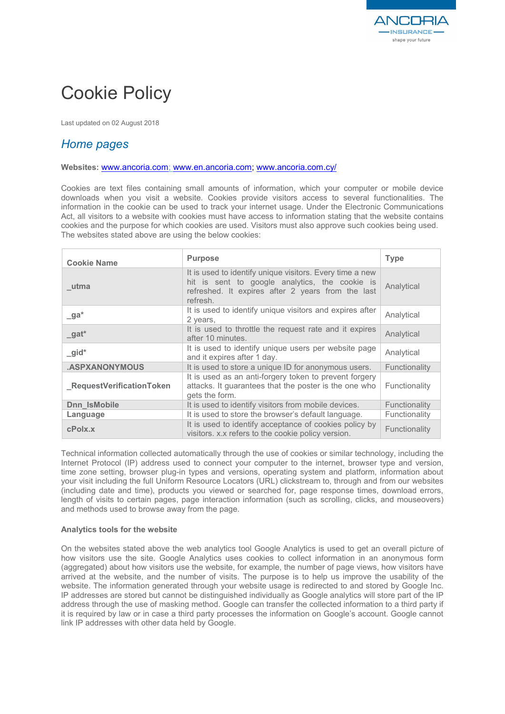

# Cookie Policy

Last updated on 02 August 2018

# *Home pages*

## **Websites:** www.ancoria.com; www.en.ancoria.com; www.ancoria.com.cy/

Cookies are text files containing small amounts of information, which your computer or mobile device downloads when you visit a website. Cookies provide visitors access to several functionalities. The information in the cookie can be used to track your internet usage. Under the Electronic Communications Act, all visitors to a website with cookies must have access to information stating that the website contains cookies and the purpose for which cookies are used. Visitors must also approve such cookies being used. The websites stated above are using the below cookies:

| <b>Cookie Name</b>        | <b>Purpose</b>                                                                                                                                                              | <b>Type</b>   |
|---------------------------|-----------------------------------------------------------------------------------------------------------------------------------------------------------------------------|---------------|
| utma                      | It is used to identify unique visitors. Every time a new<br>hit is sent to google analytics, the cookie is<br>refreshed. It expires after 2 years from the last<br>refresh. | Analytical    |
| $\mathsf{a}^*$            | It is used to identify unique visitors and expires after<br>2 years,                                                                                                        | Analytical    |
| $_g$ at*                  | It is used to throttle the request rate and it expires<br>after 10 minutes.                                                                                                 | Analytical    |
| $\_gid^*$                 | It is used to identify unique users per website page<br>and it expires after 1 day.                                                                                         | Analytical    |
| <b>.ASPXANONYMOUS</b>     | It is used to store a unique ID for anonymous users.                                                                                                                        | Functionality |
| _RequestVerificationToken | It is used as an anti-forgery token to prevent forgery<br>attacks. It guarantees that the poster is the one who<br>gets the form.                                           | Functionality |
| Dnn IsMobile              | It is used to identify visitors from mobile devices.                                                                                                                        | Functionality |
| Language                  | It is used to store the browser's default language.                                                                                                                         | Functionality |
| cPolx.x                   | It is used to identify acceptance of cookies policy by<br>visitors. x.x refers to the cookie policy version.                                                                | Functionality |

Technical information collected automatically through the use of cookies or similar technology, including the Internet Protocol (IP) address used to connect your computer to the internet, browser type and version, time zone setting, browser plug-in types and versions, operating system and platform, information about your visit including the full Uniform Resource Locators (URL) clickstream to, through and from our websites (including date and time), products you viewed or searched for, page response times, download errors, length of visits to certain pages, page interaction information (such as scrolling, clicks, and mouseovers) and methods used to browse away from the page.

## **Analytics tools for the website**

On the websites stated above the web analytics tool Google Analytics is used to get an overall picture of how visitors use the site. Google Analytics uses cookies to collect information in an anonymous form (aggregated) about how visitors use the website, for example, the number of page views, how visitors have arrived at the website, and the number of visits. The purpose is to help us improve the usability of the website. The information generated through your website usage is redirected to and stored by Google Inc. IP addresses are stored but cannot be distinguished individually as Google analytics will store part of the IP address through the use of masking method. Google can transfer the collected information to a third party if it is required by law or in case a third party processes the information on Google's account. Google cannot link IP addresses with other data held by Google.